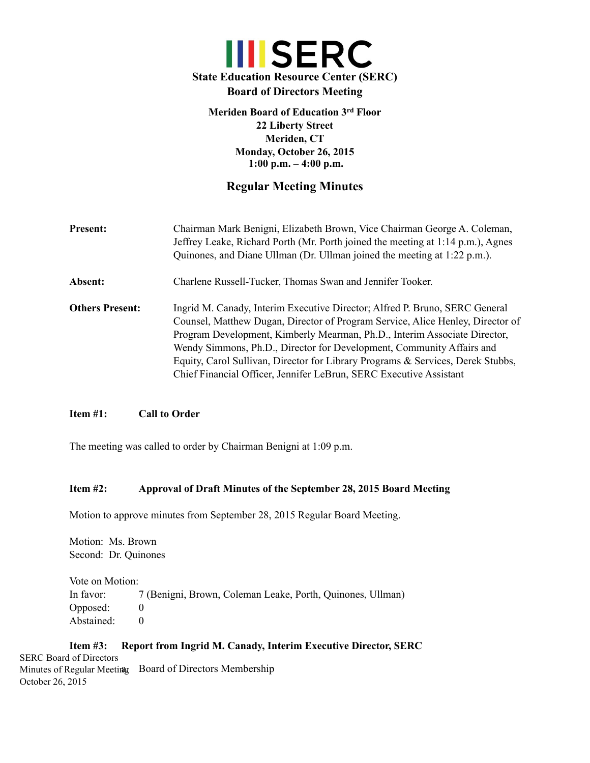# **III** SERC **State Education Resource Center (SERC) Board of Directors Meeting**

**Meriden Board of Education 3rd Floor 22 Liberty Street Meriden, CT Monday, October 26, 2015 1:00 p.m. – 4:00 p.m.**

# **Regular Meeting Minutes**

**Present:** Chairman Mark Benigni, Elizabeth Brown, Vice Chairman George A. Coleman, Jeffrey Leake, Richard Porth (Mr. Porth joined the meeting at 1:14 p.m.), Agnes Quinones, and Diane Ullman (Dr. Ullman joined the meeting at 1:22 p.m.). **Absent:** Charlene Russell-Tucker, Thomas Swan and Jennifer Tooker. **Others Present:** Ingrid M. Canady, Interim Executive Director; Alfred P. Bruno, SERC General Counsel, Matthew Dugan, Director of Program Service, Alice Henley, Director of Program Development, Kimberly Mearman, Ph.D., Interim Associate Director, Wendy Simmons, Ph.D., Director for Development, Community Affairs and Equity, Carol Sullivan, Director for Library Programs & Services, Derek Stubbs, Chief Financial Officer, Jennifer LeBrun, SERC Executive Assistant

# **Item #1: Call to Order**

The meeting was called to order by Chairman Benigni at 1:09 p.m.

## **Item #2: Approval of Draft Minutes of the September 28, 2015 Board Meeting**

Motion to approve minutes from September 28, 2015 Regular Board Meeting.

Motion: Ms. Brown Second: Dr. Quinones

Vote on Motion: In favor: 7 (Benigni, Brown, Coleman Leake, Porth, Quinones, Ullman) Opposed: 0 Abstained: 0

#### **Item #3: Report from Ingrid M. Canady, Interim Executive Director, SERC** Minutes of Regular Meeting Board of Directors Membership SERC Board of Directors October 26, 2015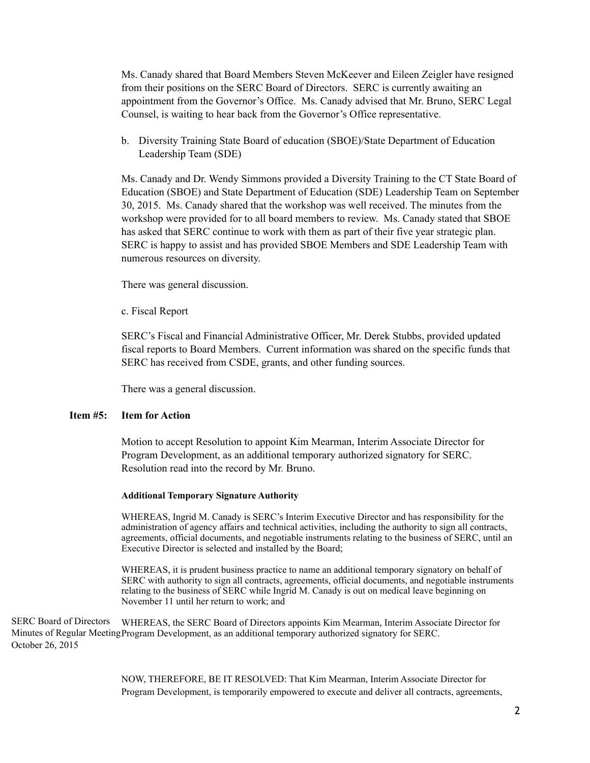Ms. Canady shared that Board Members Steven McKeever and Eileen Zeigler have resigned from their positions on the SERC Board of Directors. SERC is currently awaiting an appointment from the Governor's Office. Ms. Canady advised that Mr. Bruno, SERC Legal Counsel, is waiting to hear back from the Governor's Office representative.

b. Diversity Training State Board of education (SBOE)/State Department of Education Leadership Team (SDE)

Ms. Canady and Dr. Wendy Simmons provided a Diversity Training to the CT State Board of Education (SBOE) and State Department of Education (SDE) Leadership Team on September 30, 2015. Ms. Canady shared that the workshop was well received. The minutes from the workshop were provided for to all board members to review. Ms. Canady stated that SBOE has asked that SERC continue to work with them as part of their five year strategic plan. SERC is happy to assist and has provided SBOE Members and SDE Leadership Team with numerous resources on diversity.

There was general discussion.

c. Fiscal Report

SERC's Fiscal and Financial Administrative Officer, Mr. Derek Stubbs, provided updated fiscal reports to Board Members. Current information was shared on the specific funds that SERC has received from CSDE, grants, and other funding sources.

There was a general discussion.

# **Item #5: Item for Action**

Motion to accept Resolution to appoint Kim Mearman, Interim Associate Director for Program Development, as an additional temporary authorized signatory for SERC. Resolution read into the record by Mr. Bruno.

#### **Additional Temporary Signature Authority**

WHEREAS, Ingrid M. Canady is SERC's Interim Executive Director and has responsibility for the administration of agency affairs and technical activities, including the authority to sign all contracts, agreements, official documents, and negotiable instruments relating to the business of SERC, until an Executive Director is selected and installed by the Board;

WHEREAS, it is prudent business practice to name an additional temporary signatory on behalf of SERC with authority to sign all contracts, agreements, official documents, and negotiable instruments relating to the business of SERC while Ingrid M. Canady is out on medical leave beginning on November 11 until her return to work; and

WHEREAS, the SERC Board of Directors appoints Kim Mearman, Interim Associate Director for Minutes of Regular Meeting Program Development, as an additional temporary authorized signatory for SERC. SERC Board of Directors October 26, 2015

> NOW, THEREFORE, BE IT RESOLVED: That Kim Mearman, Interim Associate Director for Program Development, is temporarily empowered to execute and deliver all contracts, agreements,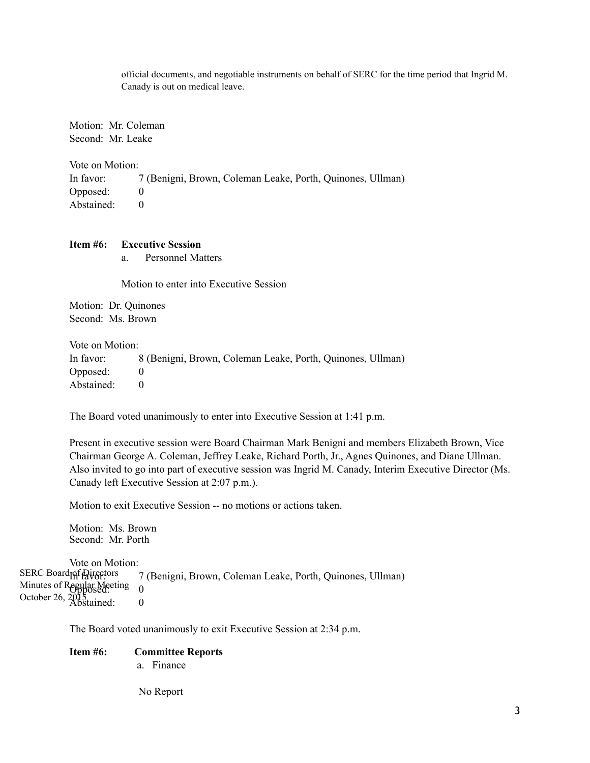official documents, and negotiable instruments on behalf of SERC for the time period that Ingrid M. Canady is out on medical leave.

Motion: Mr. Coleman Second: Mr. Leake

Vote on Motion:

In favor: 7 (Benigni, Brown, Coleman Leake, Porth, Quinones, Ullman) Opposed: 0 Abstained: 0

## **Item #6: Executive Session**

a. Personnel Matters

Motion to enter into Executive Session

Motion: Dr. Quinones Second: Ms. Brown

Vote on Motion:

| In favor:  | 8 (Benigni, Brown, Coleman Leake, Porth, Quinones, Ullman) |
|------------|------------------------------------------------------------|
| Opposed:   |                                                            |
| Abstained: |                                                            |

The Board voted unanimously to enter into Executive Session at 1:41 p.m.

Present in executive session were Board Chairman Mark Benigni and members Elizabeth Brown, Vice Chairman George A. Coleman, Jeffrey Leake, Richard Porth, Jr., Agnes Quinones, and Diane Ullman. Also invited to go into part of executive session was Ingrid M. Canady, Interim Executive Director (Ms. Canady left Executive Session at 2:07 p.m.).

Motion to exit Executive Session -- no motions or actions taken.

Motion: Ms. Brown Second: Mr. Porth

Vote on Motion: 7 (Benigni, Brown, Coleman Leake, Porth, Quinones, Ullman) Minutes of Regular Meeting 0 October 26,  $\frac{2015}{\text{Abstained}}$ : 0 SERC Board pf Directors

The Board voted unanimously to exit Executive Session at 2:34 p.m.

## **Item #6: Committee Reports**

a. Finance

No Report